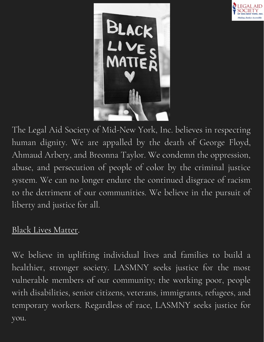



The Legal Aid Society of Mid-New York, Inc. believes in respecting human dignity. We are appalled by the death of George Floyd, Ahmaud Arbery, and Breonna Taylor. We condemn the oppression, abuse, and persecution of people of color by the criminal justice system. We can no longer endure the continued disgrace of racism to the detriment of our communities. We believe in the pursuit of liberty and justice for all.

## Black Lives Matter.

We believe in uplifting individual lives and families to build a healthier, stronger society. LASMNY seeks justice for the most vulnerable members of our community; the working poor, people with disabilities, senior citizens, veterans, immigrants, refugees, and temporary workers. Regardless of race, LASMNY seeks justice for you.